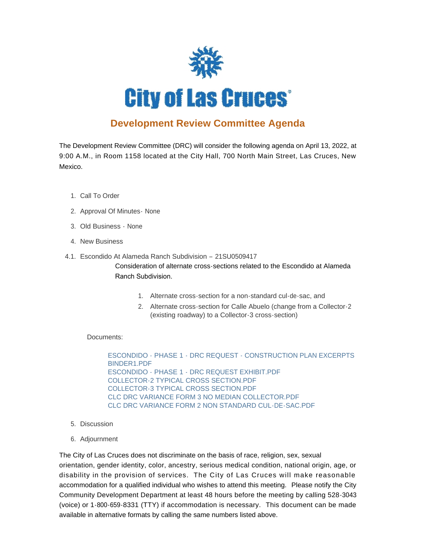

## **Development Review Committee Agenda**

The Development Review Committee (DRC) will consider the following agenda on April 13, 2022, at 9:00 A.M., in Room 1158 located at the City Hall, 700 North Main Street, Las Cruces, New Mexico.

- 1. Call To Order
- 2. Approval Of Minutes None
- Old Business None 3.
- 4. New Business
- Escondido At Alameda Ranch Subdivision 21SU0509417 4.1.

Consideration of alternate cross-sections related to the Escondido at Alameda Ranch Subdivision.

- 1. Alternate cross-section for a non-standard cul-de-sac, and
- 2. Alternate cross-section for Calle Abuelo (change from a Collector-2 (existing roadway) to a Collector-3 cross-section)

Documents:

[ESCONDIDO - PHASE 1 - DRC REQUEST - CONSTRUCTION PLAN EXCERPTS](https://www.las-cruces.org/AgendaCenter/ViewFile/Item/8997?fileID=15063)  BINDER1.PDF [ESCONDIDO - PHASE 1 - DRC REQUEST EXHIBIT.PDF](https://www.las-cruces.org/AgendaCenter/ViewFile/Item/8997?fileID=15064) [COLLECTOR-2 TYPICAL CROSS SECTION.PDF](https://www.las-cruces.org/AgendaCenter/ViewFile/Item/8997?fileID=15065) [COLLECTOR-3 TYPICAL CROSS SECTION.PDF](https://www.las-cruces.org/AgendaCenter/ViewFile/Item/8997?fileID=15066) [CLC DRC VARIANCE FORM 3 NO MEDIAN COLLECTOR.PDF](https://www.las-cruces.org/AgendaCenter/ViewFile/Item/8997?fileID=15067) [CLC DRC VARIANCE FORM 2 NON STANDARD CUL-DE-SAC.PDF](https://www.las-cruces.org/AgendaCenter/ViewFile/Item/8997?fileID=15068)

- 5. Discussion
- Adjournment 6.

The City of Las Cruces does not discriminate on the basis of race, religion, sex, sexual orientation, gender identity, color, ancestry, serious medical condition, national origin, age, or disability in the provision of services. The City of Las Cruces will make reasonable accommodation for a qualified individual who wishes to attend this meeting. Please notify the City Community Development Department at least 48 hours before the meeting by calling 528-3043 (voice) or 1-800-659-8331 (TTY) if accommodation is necessary. This document can be made available in alternative formats by calling the same numbers listed above.